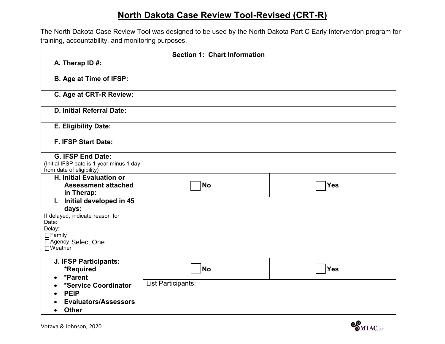## **North Dakota Case Review Tool-Revised (CRT-R)**

The North Dakota Case Review Tool was designed to be used by the North Dakota Part C Early Intervention program for training, accountability, and monitoring purposes.

|                                                                                                                                                                  | <b>Section 1: Chart Information</b> |            |
|------------------------------------------------------------------------------------------------------------------------------------------------------------------|-------------------------------------|------------|
| A. Therap ID #:                                                                                                                                                  |                                     |            |
| <b>B. Age at Time of IFSP:</b>                                                                                                                                   |                                     |            |
| C. Age at CRT-R Review:                                                                                                                                          |                                     |            |
| <b>D. Initial Referral Date:</b>                                                                                                                                 |                                     |            |
| E. Eligibility Date:                                                                                                                                             |                                     |            |
| <b>F. IFSP Start Date:</b>                                                                                                                                       |                                     |            |
| <b>G. IFSP End Date:</b><br>(Initial IFSP date is 1 year minus 1 day<br>from date of eligibility)                                                                |                                     |            |
| <b>H. Initial Evaluation or</b><br><b>Assessment attached</b><br>in Therap:                                                                                      | <b>No</b>                           | <b>Yes</b> |
| Initial developed in 45<br>$\mathbf{L}$<br>days:<br>If delayed, indicate reason for<br>Date:<br>Delay:<br>$\Box$ Family<br>□ Agency Select One<br>$\Box$ Weather |                                     |            |
| J. IFSP Participants:<br>*Required<br>*Parent<br>$\bullet$<br>*Service Coordinator<br><b>PEIP</b><br><b>Evaluators/Assessors</b><br><b>Other</b><br>$\bullet$    | <b>No</b><br>List Participants:     | <b>Yes</b> |

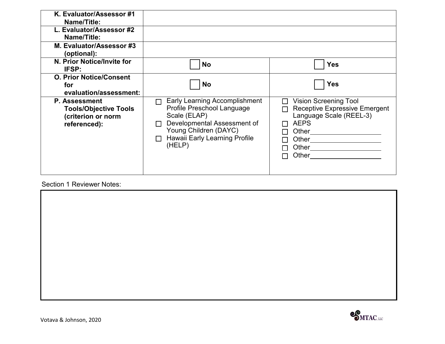| K. Evaluator/Assessor #1<br>Name/Title:<br>L. Evaluator/Assessor #2                 |                                                                                                                                                                                                 |                                                                                                                                                              |
|-------------------------------------------------------------------------------------|-------------------------------------------------------------------------------------------------------------------------------------------------------------------------------------------------|--------------------------------------------------------------------------------------------------------------------------------------------------------------|
| Name/Title:<br>M. Evaluator/Assessor #3                                             |                                                                                                                                                                                                 |                                                                                                                                                              |
| (optional):                                                                         |                                                                                                                                                                                                 |                                                                                                                                                              |
| N. Prior Notice/Invite for<br><b>IFSP:</b>                                          | <b>No</b>                                                                                                                                                                                       | Yes                                                                                                                                                          |
| <b>O. Prior Notice/Consent</b><br>for<br>evaluation/assessment:                     | <b>No</b>                                                                                                                                                                                       | Yes                                                                                                                                                          |
| P. Assessment<br><b>Tools/Objective Tools</b><br>(criterion or norm<br>referenced): | Early Learning Accomplishment<br>П<br>Profile Preschool Language<br>Scale (ELAP)<br>Developmental Assessment of<br>П<br>Young Children (DAYC)<br><b>Hawaii Early Learning Profile</b><br>(HELP) | <b>Vision Screening Tool</b><br>П<br><b>Receptive Expressive Emergent</b><br>П<br>Language Scale (REEL-3)<br><b>AEPS</b><br>Other<br>Other<br>Other<br>Other |

## Section 1 Reviewer Notes:

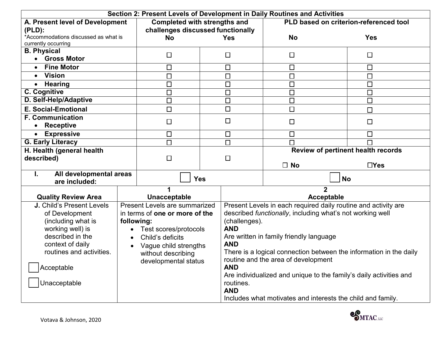| Section 2: Present Levels of Development in Daily Routines and Activities                                                                                                                      |  |                                                                                                                                                                                                          |  |                                                                                                                                                                                                                                                                                                                                                                                                                                                                                                                        |                                    |                                        |  |  |  |
|------------------------------------------------------------------------------------------------------------------------------------------------------------------------------------------------|--|----------------------------------------------------------------------------------------------------------------------------------------------------------------------------------------------------------|--|------------------------------------------------------------------------------------------------------------------------------------------------------------------------------------------------------------------------------------------------------------------------------------------------------------------------------------------------------------------------------------------------------------------------------------------------------------------------------------------------------------------------|------------------------------------|----------------------------------------|--|--|--|
| A. Present level of Development<br>(PLD):                                                                                                                                                      |  | <b>Completed with strengths and</b><br>challenges discussed functionally                                                                                                                                 |  |                                                                                                                                                                                                                                                                                                                                                                                                                                                                                                                        |                                    | PLD based on criterion-referenced tool |  |  |  |
| *Accommodations discussed as what is<br>currently occurring                                                                                                                                    |  | <b>No</b>                                                                                                                                                                                                |  | <b>Yes</b>                                                                                                                                                                                                                                                                                                                                                                                                                                                                                                             | <b>No</b>                          | <b>Yes</b>                             |  |  |  |
| <b>B. Physical</b>                                                                                                                                                                             |  |                                                                                                                                                                                                          |  |                                                                                                                                                                                                                                                                                                                                                                                                                                                                                                                        |                                    |                                        |  |  |  |
| <b>Gross Motor</b><br>$\bullet$                                                                                                                                                                |  | ⊔                                                                                                                                                                                                        |  | $\Box$                                                                                                                                                                                                                                                                                                                                                                                                                                                                                                                 | $\Box$                             | □                                      |  |  |  |
| <b>Fine Motor</b><br>$\bullet$                                                                                                                                                                 |  | $\Box$                                                                                                                                                                                                   |  | $\Box$                                                                                                                                                                                                                                                                                                                                                                                                                                                                                                                 | $\Box$                             | $\Box$                                 |  |  |  |
| <b>Vision</b><br>$\bullet$                                                                                                                                                                     |  | $\Box$                                                                                                                                                                                                   |  | $\Box$                                                                                                                                                                                                                                                                                                                                                                                                                                                                                                                 | $\Box$                             | $\Box$                                 |  |  |  |
| <b>Hearing</b><br>$\bullet$                                                                                                                                                                    |  | $\Box$                                                                                                                                                                                                   |  | $\Box$                                                                                                                                                                                                                                                                                                                                                                                                                                                                                                                 | $\Box$                             | $\Box$                                 |  |  |  |
| <b>C. Cognitive</b>                                                                                                                                                                            |  | $\Box$                                                                                                                                                                                                   |  | $\Box$                                                                                                                                                                                                                                                                                                                                                                                                                                                                                                                 | $\Box$                             | $\Box$                                 |  |  |  |
| D. Self-Help/Adaptive                                                                                                                                                                          |  | $\Box$                                                                                                                                                                                                   |  | $\Box$                                                                                                                                                                                                                                                                                                                                                                                                                                                                                                                 | $\Box$                             | $\Box$                                 |  |  |  |
| <b>E. Social-Emotional</b>                                                                                                                                                                     |  | $\Box$                                                                                                                                                                                                   |  | $\Box$                                                                                                                                                                                                                                                                                                                                                                                                                                                                                                                 | $\Box$                             | $\Box$                                 |  |  |  |
| <b>F. Communication</b><br><b>Receptive</b>                                                                                                                                                    |  | □                                                                                                                                                                                                        |  | $\Box$                                                                                                                                                                                                                                                                                                                                                                                                                                                                                                                 | $\Box$                             | $\Box$                                 |  |  |  |
| • Expressive                                                                                                                                                                                   |  | $\Box$                                                                                                                                                                                                   |  | $\Box$                                                                                                                                                                                                                                                                                                                                                                                                                                                                                                                 | $\Box$                             | $\Box$                                 |  |  |  |
| <b>G. Early Literacy</b>                                                                                                                                                                       |  | $\Box$                                                                                                                                                                                                   |  | $\Box$                                                                                                                                                                                                                                                                                                                                                                                                                                                                                                                 |                                    |                                        |  |  |  |
| H. Health (general health                                                                                                                                                                      |  |                                                                                                                                                                                                          |  |                                                                                                                                                                                                                                                                                                                                                                                                                                                                                                                        | Review of pertinent health records |                                        |  |  |  |
| described)                                                                                                                                                                                     |  | $\Box$                                                                                                                                                                                                   |  | $\Box$                                                                                                                                                                                                                                                                                                                                                                                                                                                                                                                 | $\Box$ No                          | $\Box$ Yes                             |  |  |  |
| All developmental areas<br>are included:                                                                                                                                                       |  | <b>Yes</b>                                                                                                                                                                                               |  | <b>No</b>                                                                                                                                                                                                                                                                                                                                                                                                                                                                                                              |                                    |                                        |  |  |  |
| <b>Quality Review Area</b>                                                                                                                                                                     |  | <b>Unacceptable</b>                                                                                                                                                                                      |  | 2<br><b>Acceptable</b>                                                                                                                                                                                                                                                                                                                                                                                                                                                                                                 |                                    |                                        |  |  |  |
| <b>J. Child's Present Levels</b><br>of Development<br>(including what is<br>working well) is<br>described in the<br>context of daily<br>routines and activities.<br>Acceptable<br>Unacceptable |  | <b>Present Levels are summarized</b><br>in terms of one or more of the<br>following:<br>Test scores/protocols<br>Child's deficits<br>Vague child strengths<br>without describing<br>developmental status |  | Present Levels in each required daily routine and activity are<br>described <i>functionally</i> , including what's not working well<br>(challenges).<br><b>AND</b><br>Are written in family friendly language<br><b>AND</b><br>There is a logical connection between the information in the daily<br>routine and the area of development<br><b>AND</b><br>Are individualized and unique to the family's daily activities and<br>routines.<br><b>AND</b><br>Includes what motivates and interests the child and family. |                                    |                                        |  |  |  |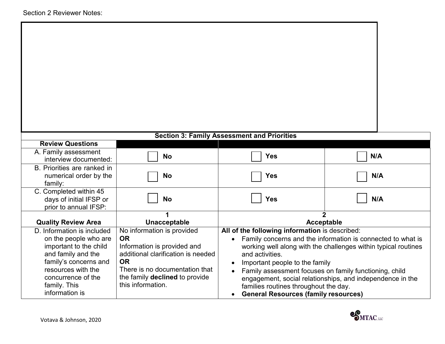## **Section 3: Family Assessment and Priorities**

| <b>Section 3. Family ASSESSMENT and Fribrities</b>                                                                                                                                                         |                                                                                                                                                                                                                           |                                                                                                                                                                                                                                                                                                                                                                                                                                                                               |     |  |  |  |  |  |  |  |
|------------------------------------------------------------------------------------------------------------------------------------------------------------------------------------------------------------|---------------------------------------------------------------------------------------------------------------------------------------------------------------------------------------------------------------------------|-------------------------------------------------------------------------------------------------------------------------------------------------------------------------------------------------------------------------------------------------------------------------------------------------------------------------------------------------------------------------------------------------------------------------------------------------------------------------------|-----|--|--|--|--|--|--|--|
| <b>Review Questions</b>                                                                                                                                                                                    |                                                                                                                                                                                                                           |                                                                                                                                                                                                                                                                                                                                                                                                                                                                               |     |  |  |  |  |  |  |  |
| A. Family assessment<br>interview documented:                                                                                                                                                              | <b>No</b>                                                                                                                                                                                                                 | Yes                                                                                                                                                                                                                                                                                                                                                                                                                                                                           | N/A |  |  |  |  |  |  |  |
| Priorities are ranked in<br>B.<br>numerical order by the<br>family:                                                                                                                                        | <b>No</b>                                                                                                                                                                                                                 | Yes                                                                                                                                                                                                                                                                                                                                                                                                                                                                           | N/A |  |  |  |  |  |  |  |
| C. Completed within 45<br>days of initial IFSP or<br>prior to annual IFSP:                                                                                                                                 | <b>No</b>                                                                                                                                                                                                                 | <b>Yes</b>                                                                                                                                                                                                                                                                                                                                                                                                                                                                    | N/A |  |  |  |  |  |  |  |
|                                                                                                                                                                                                            |                                                                                                                                                                                                                           |                                                                                                                                                                                                                                                                                                                                                                                                                                                                               |     |  |  |  |  |  |  |  |
| <b>Quality Review Area</b>                                                                                                                                                                                 | Unacceptable                                                                                                                                                                                                              | Acceptable                                                                                                                                                                                                                                                                                                                                                                                                                                                                    |     |  |  |  |  |  |  |  |
| D. Information is included<br>on the people who are<br>important to the child<br>and family and the<br>family's concerns and<br>resources with the<br>concurrence of the<br>family. This<br>information is | No information is provided<br><b>OR</b><br>Information is provided and<br>additional clarification is needed<br><b>OR</b><br>There is no documentation that<br>the family <b>declined</b> to provide<br>this information. | All of the following information is described:<br>Family concerns and the information is connected to what is<br>working well along with the challenges within typical routines<br>and activities.<br>Important people to the family<br>$\bullet$<br>Family assessment focuses on family functioning, child<br>$\bullet$<br>engagement, social relationships, and independence in the<br>families routines throughout the day.<br><b>General Resources (family resources)</b> |     |  |  |  |  |  |  |  |

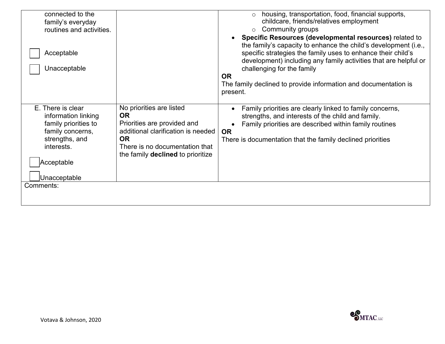| Unacceptable<br>Comments:                                                                                                          |                                                                                                                                                                                                |                                                                                                                                                                                                                                                                                                                                                                                                                                                                                                                                       |
|------------------------------------------------------------------------------------------------------------------------------------|------------------------------------------------------------------------------------------------------------------------------------------------------------------------------------------------|---------------------------------------------------------------------------------------------------------------------------------------------------------------------------------------------------------------------------------------------------------------------------------------------------------------------------------------------------------------------------------------------------------------------------------------------------------------------------------------------------------------------------------------|
| E. There is clear<br>information linking<br>family priorities to<br>family concerns,<br>strengths, and<br>interests.<br>Acceptable | No priorities are listed<br><b>OR</b><br>Priorities are provided and<br>additional clarification is needed<br><b>OR</b><br>There is no documentation that<br>the family declined to prioritize | Family priorities are clearly linked to family concerns,<br>strengths, and interests of the child and family.<br>Family priorities are described within family routines<br><b>OR</b><br>There is documentation that the family declined priorities                                                                                                                                                                                                                                                                                    |
| connected to the<br>family's everyday<br>routines and activities.<br>Acceptable<br>Unacceptable                                    |                                                                                                                                                                                                | housing, transportation, food, financial supports,<br>childcare, friends/relatives employment<br>Community groups<br>$\circ$<br>Specific Resources (developmental resources) related to<br>$\bullet$<br>the family's capacity to enhance the child's development (i.e.,<br>specific strategies the family uses to enhance their child's<br>development) including any family activities that are helpful or<br>challenging for the family<br><b>OR</b><br>The family declined to provide information and documentation is<br>present. |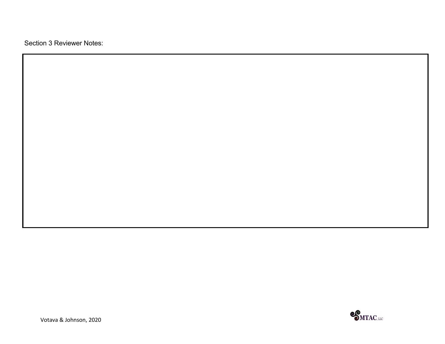Section 3 Reviewer Notes:

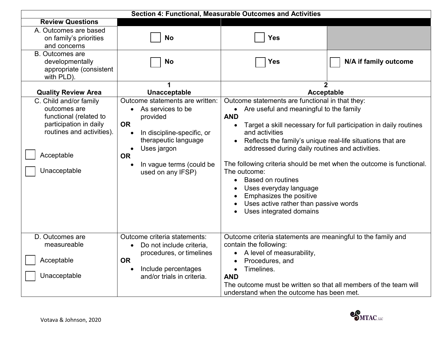| Section 4: Functional, Measurable Outcomes and Activities                                                                                             |                                                                                                                                                                                                                  |                                                                                                                                                                                                                                                                                                                                                                                                                                                                                                                                                                                         |  |  |  |  |  |  |  |
|-------------------------------------------------------------------------------------------------------------------------------------------------------|------------------------------------------------------------------------------------------------------------------------------------------------------------------------------------------------------------------|-----------------------------------------------------------------------------------------------------------------------------------------------------------------------------------------------------------------------------------------------------------------------------------------------------------------------------------------------------------------------------------------------------------------------------------------------------------------------------------------------------------------------------------------------------------------------------------------|--|--|--|--|--|--|--|
| <b>Review Questions</b>                                                                                                                               |                                                                                                                                                                                                                  |                                                                                                                                                                                                                                                                                                                                                                                                                                                                                                                                                                                         |  |  |  |  |  |  |  |
| A. Outcomes are based<br>on family's priorities<br>and concerns                                                                                       | <b>No</b>                                                                                                                                                                                                        | <b>Yes</b>                                                                                                                                                                                                                                                                                                                                                                                                                                                                                                                                                                              |  |  |  |  |  |  |  |
| <b>B.</b> Outcomes are<br>developmentally<br>appropriate (consistent<br>with PLD).                                                                    | <b>No</b>                                                                                                                                                                                                        | N/A if family outcome<br><b>Yes</b>                                                                                                                                                                                                                                                                                                                                                                                                                                                                                                                                                     |  |  |  |  |  |  |  |
| <b>Quality Review Area</b>                                                                                                                            | <b>Unacceptable</b>                                                                                                                                                                                              | $\overline{2}$<br><b>Acceptable</b>                                                                                                                                                                                                                                                                                                                                                                                                                                                                                                                                                     |  |  |  |  |  |  |  |
| C. Child and/or family<br>outcomes are<br>functional (related to<br>participation in daily<br>routines and activities).<br>Acceptable<br>Unacceptable | Outcome statements are written:<br>As services to be<br>provided<br><b>OR</b><br>In discipline-specific, or<br>therapeutic language<br>Uses jargon<br><b>OR</b><br>In vague terms (could be<br>used on any IFSP) | Outcome statements are functional in that they:<br>Are useful and meaningful to the family<br><b>AND</b><br>Target a skill necessary for full participation in daily routines<br>and activities<br>Reflects the family's unique real-life situations that are<br>addressed during daily routines and activities.<br>The following criteria should be met when the outcome is functional.<br>The outcome:<br><b>Based on routines</b><br>$\bullet$<br>Uses everyday language<br>Emphasizes the positive<br>Uses active rather than passive words<br>Uses integrated domains<br>$\bullet$ |  |  |  |  |  |  |  |
| D. Outcomes are<br>measureable                                                                                                                        | Outcome criteria statements:<br>Do not include criteria,<br>$\bullet$<br>procedures, or timelines                                                                                                                | Outcome criteria statements are meaningful to the family and<br>contain the following:<br>A level of measurability,<br>$\bullet$                                                                                                                                                                                                                                                                                                                                                                                                                                                        |  |  |  |  |  |  |  |
| Acceptable<br>Unacceptable                                                                                                                            | <b>OR</b><br>Include percentages<br>$\bullet$<br>and/or trials in criteria.                                                                                                                                      | Procedures, and<br>Timelines.<br>$\bullet$<br><b>AND</b><br>The outcome must be written so that all members of the team will<br>understand when the outcome has been met.                                                                                                                                                                                                                                                                                                                                                                                                               |  |  |  |  |  |  |  |

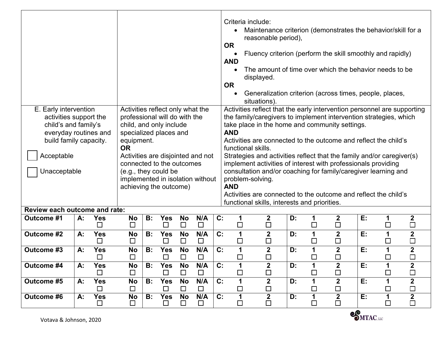| E. Early intervention<br>Activities reflect only what the<br>professional will do with the<br>activities support the<br>child's and family's<br>child, and only include<br>everyday routines and<br>specialized places and<br>build family capacity.<br>equipment.<br><b>OR</b><br>Acceptable<br>Activities are disjointed and not<br>connected to the outcomes<br>Unacceptable<br>(e.g., they could be<br>implemented in isolation without<br>achieving the outcome) |    |                      |                     |           |                      | Criteria include:<br><b>OR</b><br><b>AND</b><br><b>OR</b><br>Activities reflect that the early intervention personnel are supporting<br>the family/caregivers to implement intervention strategies, which<br>take place in the home and community settings.<br><b>AND</b><br>Activities are connected to the outcome and reflect the child's<br>functional skills.<br>Strategies and activities reflect that the family and/or caregiver(s)<br>implement activities of interest with professionals providing<br>consultation and/or coaching for family/caregiver learning and<br>problem-solving.<br><b>AND</b><br>Activities are connected to the outcome and reflect the child's<br>functional skills, interests and priorities. | reasonable period),<br>displayed.<br>situations). |                  |             | Maintenance criterion (demonstrates the behavior/skill for a<br>Fluency criterion (perform the skill smoothly and rapidly)<br>The amount of time over which the behavior needs to be<br>Generalization criterion (across times, people, places, |    |             |                                   |    |             |                            |
|-----------------------------------------------------------------------------------------------------------------------------------------------------------------------------------------------------------------------------------------------------------------------------------------------------------------------------------------------------------------------------------------------------------------------------------------------------------------------|----|----------------------|---------------------|-----------|----------------------|-------------------------------------------------------------------------------------------------------------------------------------------------------------------------------------------------------------------------------------------------------------------------------------------------------------------------------------------------------------------------------------------------------------------------------------------------------------------------------------------------------------------------------------------------------------------------------------------------------------------------------------------------------------------------------------------------------------------------------------|---------------------------------------------------|------------------|-------------|-------------------------------------------------------------------------------------------------------------------------------------------------------------------------------------------------------------------------------------------------|----|-------------|-----------------------------------|----|-------------|----------------------------|
| Review each outcome and rate:<br>Outcome #1                                                                                                                                                                                                                                                                                                                                                                                                                           | А: | <b>Yes</b><br>$\Box$ | <b>No</b><br>$\Box$ | <b>B:</b> | <b>Yes</b><br>$\Box$ | No<br>$\Box$                                                                                                                                                                                                                                                                                                                                                                                                                                                                                                                                                                                                                                                                                                                        | N/A<br>$\Box$                                     | $C$ :            | 1<br>$\Box$ | $\boldsymbol{2}$<br>$\Box$                                                                                                                                                                                                                      | D: | 1<br>$\Box$ | 2<br>$\Box$                       | E: | 1<br>$\Box$ | $\boldsymbol{2}$<br>$\Box$ |
| <b>Outcome #2</b>                                                                                                                                                                                                                                                                                                                                                                                                                                                     | A: | <b>Yes</b><br>$\Box$ | <b>No</b><br>$\Box$ | <b>B:</b> | <b>Yes</b><br>$\Box$ | <b>No</b><br>$\Box$                                                                                                                                                                                                                                                                                                                                                                                                                                                                                                                                                                                                                                                                                                                 | N/A<br>$\Box$                                     | C:               | 1<br>$\Box$ | $\overline{\mathbf{2}}$<br>$\Box$                                                                                                                                                                                                               | D: | 1<br>□      | $\mathbf 2$<br>$\Box$             | E: | 1<br>$\Box$ | $\boldsymbol{2}$<br>$\Box$ |
| Outcome #3                                                                                                                                                                                                                                                                                                                                                                                                                                                            | А: | <b>Yes</b><br>$\Box$ | No<br>$\Box$        | B:        | <b>Yes</b><br>$\Box$ | <b>No</b><br>$\Box$                                                                                                                                                                                                                                                                                                                                                                                                                                                                                                                                                                                                                                                                                                                 | N/A<br>$\Box$                                     | $C$ :            | 1<br>$\Box$ | $\mathbf 2$<br>$\Box$                                                                                                                                                                                                                           | D: | 1           | $\mathbf 2$<br>$\Box$             | E: | 1<br>$\Box$ | $\overline{2}$<br>$\Box$   |
| Outcome #4                                                                                                                                                                                                                                                                                                                                                                                                                                                            | А: | <b>Yes</b><br>□      | No<br>$\Box$        | B:        | <b>Yes</b><br>$\Box$ | No<br>$\Box$                                                                                                                                                                                                                                                                                                                                                                                                                                                                                                                                                                                                                                                                                                                        | N/A<br>$\Box$                                     | $\mathbf{C}$ :   | 1<br>$\Box$ | 2<br>$\Box$                                                                                                                                                                                                                                     | D: | 1<br>$\Box$ | $\boldsymbol{2}$<br>$\Box$        | E: | 1<br>$\Box$ | 2<br>$\Box$                |
| Outcome #5                                                                                                                                                                                                                                                                                                                                                                                                                                                            | A: | <b>Yes</b><br>$\Box$ | <b>No</b><br>$\Box$ | B:        | <b>Yes</b><br>$\Box$ | <b>No</b><br>$\Box$                                                                                                                                                                                                                                                                                                                                                                                                                                                                                                                                                                                                                                                                                                                 | N/A<br>$\Box$                                     | C:               | 1<br>$\Box$ | $\overline{2}$<br>$\Box$                                                                                                                                                                                                                        | D: | 1<br>П      | $\overline{\mathbf{2}}$<br>$\Box$ | E: | 1<br>$\Box$ | $\overline{2}$<br>$\Box$   |
| Outcome #6                                                                                                                                                                                                                                                                                                                                                                                                                                                            | А: | <b>Yes</b><br>$\Box$ | <b>No</b><br>$\Box$ | <b>B:</b> | <b>Yes</b><br>$\Box$ | No<br>⊔                                                                                                                                                                                                                                                                                                                                                                                                                                                                                                                                                                                                                                                                                                                             | N/A<br>$\Box$                                     | $\overline{C}$ : | 1<br>$\Box$ | $\overline{2}$<br>$\Box$                                                                                                                                                                                                                        | D: | 1<br>П      | $\overline{2}$<br>$\Box$          | E: | 1<br>$\Box$ | $\overline{2}$<br>$\Box$   |

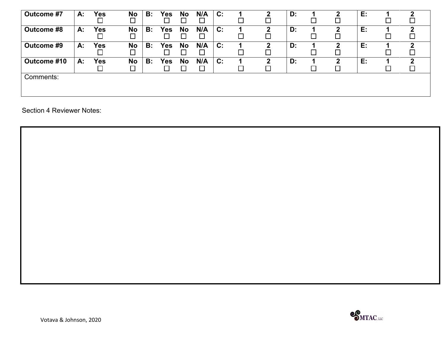| Outcome #7  | А: | Yes        | <b>No</b><br>$\Box$ | <b>B:</b> | <b>Yes</b> | <b>No</b> | N/A | $C$ :          |                          |   | D: |   | E: |   |
|-------------|----|------------|---------------------|-----------|------------|-----------|-----|----------------|--------------------------|---|----|---|----|---|
| Outcome #8  | А: | Yes        | <b>No</b>           | B:        | Yes        | <b>No</b> | N/A | $C$ :          |                          |   | D: |   | E: |   |
| Outcome #9  | А: | <b>Yes</b> | <b>No</b><br>$\Box$ | <b>B:</b> | <b>Yes</b> | No        | N/A | C:             | Ξ                        | ּ | D: |   | E: |   |
| Outcome #10 | А: | <b>Yes</b> | <b>No</b><br>$\Box$ | <b>B:</b> | Yes        | <b>No</b> | N/A | $\mathbf{C}$ : | $\overline{\phantom{0}}$ | ? | D: | າ | E: | ? |
| Comments:   |    |            |                     |           |            |           |     |                |                          |   |    |   |    |   |

Section 4 Reviewer Notes:

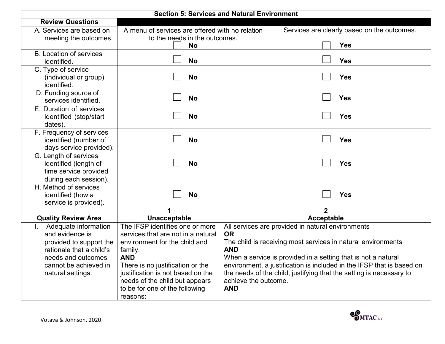| <b>Section 5: Services and Natural Environment</b> |                                                                       |                      |                                                                                                                                              |  |  |  |  |  |  |  |
|----------------------------------------------------|-----------------------------------------------------------------------|----------------------|----------------------------------------------------------------------------------------------------------------------------------------------|--|--|--|--|--|--|--|
| <b>Review Questions</b>                            |                                                                       |                      |                                                                                                                                              |  |  |  |  |  |  |  |
| A. Services are based on                           | A menu of services are offered with no relation                       |                      | Services are clearly based on the outcomes.                                                                                                  |  |  |  |  |  |  |  |
| meeting the outcomes.                              | to the needs in the outcomes.                                         |                      |                                                                                                                                              |  |  |  |  |  |  |  |
|                                                    | <b>No</b>                                                             |                      | <b>Yes</b>                                                                                                                                   |  |  |  |  |  |  |  |
| <b>B.</b> Location of services                     |                                                                       |                      |                                                                                                                                              |  |  |  |  |  |  |  |
| identified.                                        | <b>No</b>                                                             |                      | <b>Yes</b>                                                                                                                                   |  |  |  |  |  |  |  |
| C. Type of service                                 |                                                                       |                      |                                                                                                                                              |  |  |  |  |  |  |  |
| (individual or group)<br>identified.               | <b>No</b>                                                             |                      | <b>Yes</b>                                                                                                                                   |  |  |  |  |  |  |  |
| D. Funding source of                               |                                                                       |                      |                                                                                                                                              |  |  |  |  |  |  |  |
| services identified.                               | <b>No</b>                                                             |                      | <b>Yes</b>                                                                                                                                   |  |  |  |  |  |  |  |
| E. Duration of services                            |                                                                       |                      |                                                                                                                                              |  |  |  |  |  |  |  |
| identified (stop/start                             | <b>No</b>                                                             |                      | <b>Yes</b>                                                                                                                                   |  |  |  |  |  |  |  |
| dates).                                            |                                                                       |                      |                                                                                                                                              |  |  |  |  |  |  |  |
| F. Frequency of services                           |                                                                       |                      |                                                                                                                                              |  |  |  |  |  |  |  |
| identified (number of                              | <b>No</b>                                                             |                      | <b>Yes</b>                                                                                                                                   |  |  |  |  |  |  |  |
| days service provided).                            |                                                                       |                      |                                                                                                                                              |  |  |  |  |  |  |  |
| G. Length of services                              |                                                                       |                      |                                                                                                                                              |  |  |  |  |  |  |  |
| identified (length of                              | <b>No</b>                                                             |                      | <b>Yes</b>                                                                                                                                   |  |  |  |  |  |  |  |
| time service provided                              |                                                                       |                      |                                                                                                                                              |  |  |  |  |  |  |  |
| during each session).<br>H. Method of services     |                                                                       |                      |                                                                                                                                              |  |  |  |  |  |  |  |
| identified (how a                                  | <b>No</b>                                                             |                      | <b>Yes</b>                                                                                                                                   |  |  |  |  |  |  |  |
| service is provided).                              |                                                                       |                      |                                                                                                                                              |  |  |  |  |  |  |  |
|                                                    | $\mathbf 1$                                                           |                      | $\overline{2}$                                                                                                                               |  |  |  |  |  |  |  |
| <b>Quality Review Area</b>                         | <b>Unacceptable</b>                                                   |                      | <b>Acceptable</b>                                                                                                                            |  |  |  |  |  |  |  |
| Adequate information<br>$\mathbf{L}$               | The IFSP identifies one or more                                       |                      | All services are provided in natural environments                                                                                            |  |  |  |  |  |  |  |
| and evidence is                                    | services that are not in a natural                                    | <b>OR</b>            |                                                                                                                                              |  |  |  |  |  |  |  |
| provided to support the                            | environment for the child and                                         |                      | The child is receiving most services in natural environments                                                                                 |  |  |  |  |  |  |  |
| rationale that a child's                           | family.                                                               | <b>AND</b>           |                                                                                                                                              |  |  |  |  |  |  |  |
| needs and outcomes                                 | <b>AND</b>                                                            |                      | When a service is provided in a setting that is not a natural                                                                                |  |  |  |  |  |  |  |
| cannot be achieved in                              | There is no justification or the<br>justification is not based on the |                      | environment, a justification is included in the IFSP that is based on<br>the needs of the child, justifying that the setting is necessary to |  |  |  |  |  |  |  |
| natural settings.                                  | needs of the child but appears                                        | achieve the outcome. |                                                                                                                                              |  |  |  |  |  |  |  |
|                                                    | to be for one of the following                                        | <b>AND</b>           |                                                                                                                                              |  |  |  |  |  |  |  |
|                                                    | reasons:                                                              |                      |                                                                                                                                              |  |  |  |  |  |  |  |

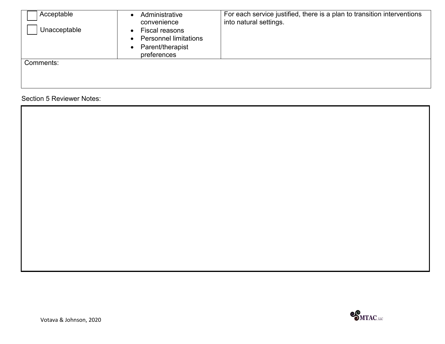| Acceptable<br>Unacceptable | Administrative<br>convenience<br>Fiscal reasons<br><b>Personnel limitations</b><br>Parent/therapist<br>preferences | For each service justified, there is a plan to transition interventions<br>into natural settings. |
|----------------------------|--------------------------------------------------------------------------------------------------------------------|---------------------------------------------------------------------------------------------------|
| Comments:                  |                                                                                                                    |                                                                                                   |

Section 5 Reviewer Notes:

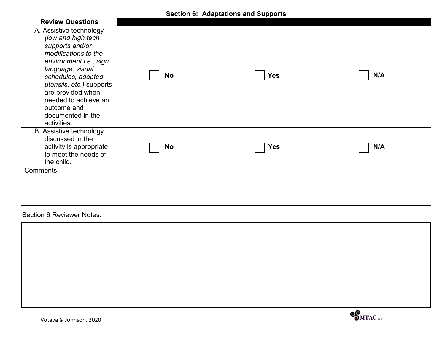| <b>Section 6: Adaptations and Supports</b>                                                                                                                                                                                                                                               |           |            |     |  |  |  |  |  |
|------------------------------------------------------------------------------------------------------------------------------------------------------------------------------------------------------------------------------------------------------------------------------------------|-----------|------------|-----|--|--|--|--|--|
| <b>Review Questions</b>                                                                                                                                                                                                                                                                  |           |            |     |  |  |  |  |  |
| A. Assistive technology<br>(low and high tech<br>supports and/or<br>modifications to the<br>environment i.e., sign<br>language, visual<br>schedules, adapted<br>utensils, etc.) supports<br>are provided when<br>needed to achieve an<br>outcome and<br>documented in the<br>activities. | <b>No</b> | <b>Yes</b> | N/A |  |  |  |  |  |
| <b>B.</b> Assistive technology<br>discussed in the<br>activity is appropriate<br>to meet the needs of<br>the child.                                                                                                                                                                      | <b>No</b> | <b>Yes</b> | N/A |  |  |  |  |  |
| Comments:                                                                                                                                                                                                                                                                                |           |            |     |  |  |  |  |  |

Section 6 Reviewer Notes:

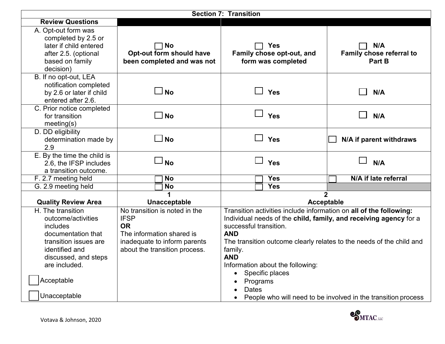| <b>Section 7: Transition</b>                                                                                                                                                                |                                                                                                                                                         |                                                                                                                                                                                                                                                                                                                                                                                                                                                                |                                                  |  |  |  |
|---------------------------------------------------------------------------------------------------------------------------------------------------------------------------------------------|---------------------------------------------------------------------------------------------------------------------------------------------------------|----------------------------------------------------------------------------------------------------------------------------------------------------------------------------------------------------------------------------------------------------------------------------------------------------------------------------------------------------------------------------------------------------------------------------------------------------------------|--------------------------------------------------|--|--|--|
| <b>Review Questions</b>                                                                                                                                                                     |                                                                                                                                                         |                                                                                                                                                                                                                                                                                                                                                                                                                                                                |                                                  |  |  |  |
| A. Opt-out form was<br>completed by 2.5 or<br>later if child entered<br>after 2.5. (optional<br>based on family<br>decision)                                                                | <b>No</b><br>Opt-out form should have<br>been completed and was not                                                                                     | <b>Yes</b><br>Family chose opt-out, and<br>form was completed                                                                                                                                                                                                                                                                                                                                                                                                  | N/A<br><b>Family chose referral to</b><br>Part B |  |  |  |
| B. If no opt-out, LEA<br>notification completed<br>by 2.6 or later if child<br>entered after 2.6.                                                                                           | $\Box$ No                                                                                                                                               | Yes                                                                                                                                                                                                                                                                                                                                                                                                                                                            | N/A                                              |  |  |  |
| C. Prior notice completed<br>for transition<br>meeting(s)                                                                                                                                   | $\Box$ No                                                                                                                                               | <b>Yes</b>                                                                                                                                                                                                                                                                                                                                                                                                                                                     | N/A                                              |  |  |  |
| D. DD eligibility<br>determination made by<br>2.9                                                                                                                                           | $\Box$ No                                                                                                                                               | $\blacksquare$<br>Yes                                                                                                                                                                                                                                                                                                                                                                                                                                          | N/A if parent withdraws                          |  |  |  |
| E. By the time the child is<br>2.6, the IFSP includes<br>a transition outcome.                                                                                                              | $\overline{\phantom{a}}$ No                                                                                                                             | <b>Yes</b>                                                                                                                                                                                                                                                                                                                                                                                                                                                     | N/A                                              |  |  |  |
| F. 2.7 meeting held                                                                                                                                                                         | <b>No</b>                                                                                                                                               | Yes                                                                                                                                                                                                                                                                                                                                                                                                                                                            | N/A if late referral                             |  |  |  |
| G. 2.9 meeting held                                                                                                                                                                         | <b>No</b>                                                                                                                                               | <b>Yes</b>                                                                                                                                                                                                                                                                                                                                                                                                                                                     |                                                  |  |  |  |
| <b>Quality Review Area</b>                                                                                                                                                                  | <b>Unacceptable</b>                                                                                                                                     | $\overline{2}$<br><b>Acceptable</b>                                                                                                                                                                                                                                                                                                                                                                                                                            |                                                  |  |  |  |
| H. The transition<br>outcome/activities<br>includes<br>documentation that<br>transition issues are<br>identified and<br>discussed, and steps<br>are included.<br>Acceptable<br>Unacceptable | No transition is noted in the<br><b>IFSP</b><br><b>OR</b><br>The information shared is<br>inadequate to inform parents<br>about the transition process. | Transition activities include information on all of the following:<br>Individual needs of the child, family, and receiving agency for a<br>successful transition.<br><b>AND</b><br>The transition outcome clearly relates to the needs of the child and<br>family.<br><b>AND</b><br>Information about the following:<br>Specific places<br>$\bullet$<br>Programs<br>$\bullet$<br><b>Dates</b><br>People who will need to be involved in the transition process |                                                  |  |  |  |

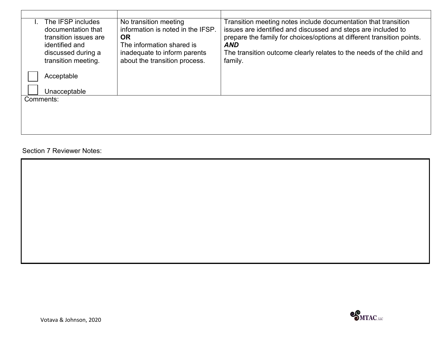|           | The IFSP includes     | No transition meeting             | Transition meeting notes include documentation that transition         |  |
|-----------|-----------------------|-----------------------------------|------------------------------------------------------------------------|--|
|           | documentation that    | information is noted in the IFSP. | issues are identified and discussed and steps are included to          |  |
|           | transition issues are | <b>OR</b>                         | prepare the family for choices/options at different transition points. |  |
|           | identified and        | The information shared is         | <b>AND</b>                                                             |  |
|           | discussed during a    | inadequate to inform parents      | The transition outcome clearly relates to the needs of the child and   |  |
|           | transition meeting.   | about the transition process.     | family.                                                                |  |
|           |                       |                                   |                                                                        |  |
|           | Acceptable            |                                   |                                                                        |  |
|           |                       |                                   |                                                                        |  |
|           |                       |                                   |                                                                        |  |
|           | Unacceptable          |                                   |                                                                        |  |
| Comments: |                       |                                   |                                                                        |  |
|           |                       |                                   |                                                                        |  |
|           |                       |                                   |                                                                        |  |
|           |                       |                                   |                                                                        |  |

## Section 7 Reviewer Notes:

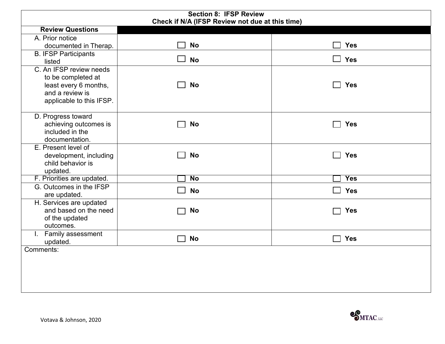| <b>Section 8: IFSP Review</b><br>Check if N/A (IFSP Review not due at this time)                                      |                        |                                 |  |  |
|-----------------------------------------------------------------------------------------------------------------------|------------------------|---------------------------------|--|--|
| <b>Review Questions</b>                                                                                               |                        |                                 |  |  |
| A. Prior notice<br>documented in Therap.<br><b>B. IFSP Participants</b><br>listed                                     | <b>No</b><br><b>No</b> | <b>Yes</b><br><b>Yes</b><br>- 1 |  |  |
| C. An IFSP review needs<br>to be completed at<br>least every 6 months,<br>and a review is<br>applicable to this IFSP. | <b>No</b>              | <b>Yes</b>                      |  |  |
| D. Progress toward<br>achieving outcomes is<br>included in the<br>documentation.                                      | <b>No</b>              | <b>Yes</b>                      |  |  |
| E. Present level of<br>development, including<br>child behavior is<br>updated.                                        | <b>No</b>              | <b>Yes</b>                      |  |  |
| F. Priorities are updated.                                                                                            | <b>No</b>              | Yes                             |  |  |
| G. Outcomes in the IFSP<br>are updated.                                                                               | <b>No</b>              | <b>Yes</b><br>$\sim 10$         |  |  |
| H. Services are updated<br>and based on the need<br>of the updated<br>outcomes.                                       | <b>No</b>              | <b>Yes</b>                      |  |  |
| I. Family assessment<br>updated.                                                                                      | <b>No</b>              | <b>Yes</b>                      |  |  |
| Comments:                                                                                                             |                        |                                 |  |  |